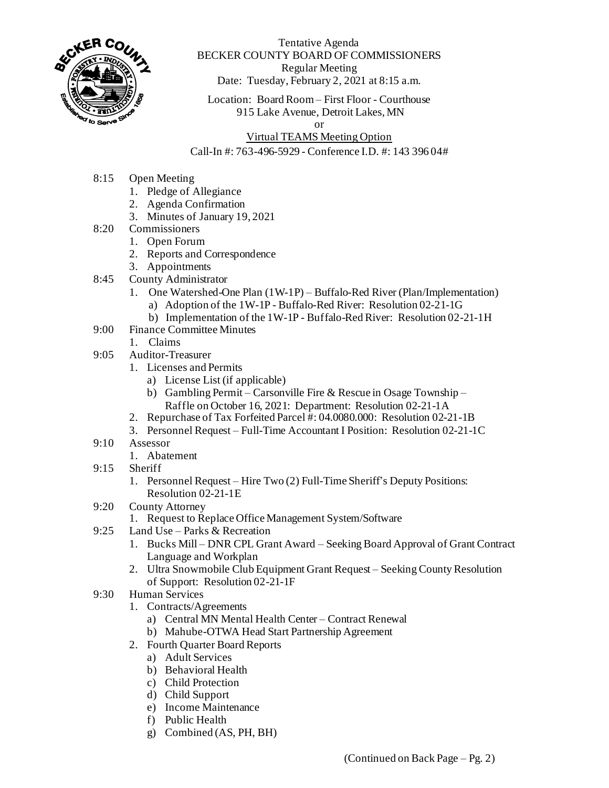

Tentative Agenda BECKER COUNTY BOARD OF COMMISSIONERS Regular Meeting Date: Tuesday, February 2, 2021 at 8:15 a.m.

Location: Board Room – First Floor - Courthouse 915 Lake Avenue, Detroit Lakes, MN

or

## Virtual TEAMS Meeting Option

## Call-In #: 763-496-5929 - Conference I.D. #: 143 396 04#

- 8:15 Open Meeting
	- 1. Pledge of Allegiance
	- 2. Agenda Confirmation
	- 3. Minutes of January 19, 2021
- 8:20 Commissioners
	- 1. Open Forum
		- 2. Reports and Correspondence
		- 3. Appointments
- 8:45 County Administrator
	- 1. One Watershed-One Plan (1W-1P) Buffalo-Red River (Plan/Implementation) a) Adoption of the 1W-1P - Buffalo-Red River: Resolution 02-21-1G
		- b) Implementation of the 1W-1P Buffalo-Red River: Resolution 02-21-1H
- 9:00 Finance Committee Minutes
- 1. Claims
- 9:05 Auditor-Treasurer
	- 1. Licenses and Permits
		- a) License List (if applicable)
		- b) Gambling Permit Carsonville Fire & Rescue in Osage Township Raffle on October 16, 2021: Department: Resolution 02-21-1A
	- 2. Repurchase of Tax Forfeited Parcel #: 04.0080.000: Resolution 02-21-1B
	- 3. Personnel Request Full-Time Accountant I Position: Resolution 02-21-1C
- 9:10 Assessor
	- 1. Abatement
- 9:15 Sheriff
	- 1. Personnel Request Hire Two (2) Full-Time Sheriff's Deputy Positions: Resolution 02-21-1E
- 9:20 County Attorney
	- 1. Request to Replace Office Management System/Software
- 9:25 Land Use Parks & Recreation
	- 1. Bucks Mill DNR CPL Grant Award Seeking Board Approval of Grant Contract Language and Workplan
	- 2. Ultra Snowmobile Club Equipment Grant Request Seeking County Resolution of Support: Resolution 02-21-1F
- 9:30 Human Services
	- 1. Contracts/Agreements
		- a) Central MN Mental Health Center Contract Renewal
		- b) Mahube-OTWA Head Start Partnership Agreement
	- 2. Fourth Quarter Board Reports
		- a) Adult Services
		- b) Behavioral Health
		- c) Child Protection
		- d) Child Support
		- e) Income Maintenance
		- f) Public Health
		- g) Combined (AS, PH, BH)